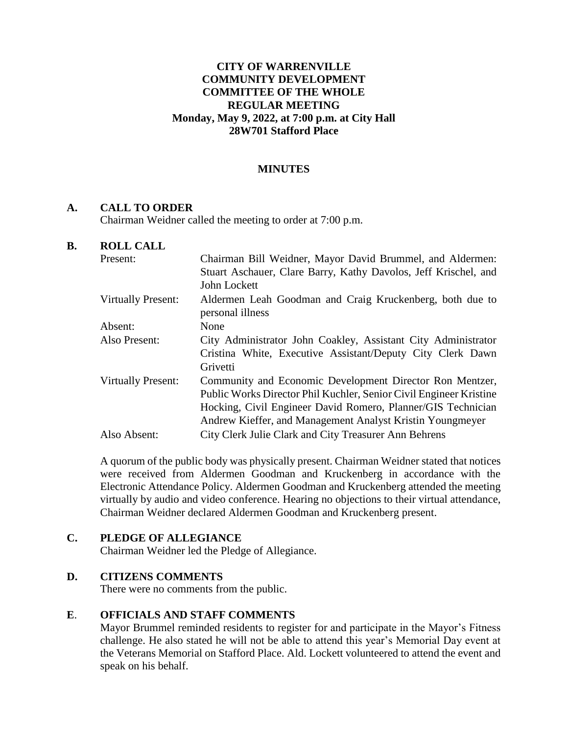## **CITY OF WARRENVILLE COMMUNITY DEVELOPMENT COMMITTEE OF THE WHOLE REGULAR MEETING Monday, May 9, 2022, at 7:00 p.m. at City Hall 28W701 Stafford Place**

## **MINUTES**

## **A. CALL TO ORDER**

Chairman Weidner called the meeting to order at 7:00 p.m.

## **B. ROLL CALL**

| Present:                  | Chairman Bill Weidner, Mayor David Brummel, and Aldermen:                    |
|---------------------------|------------------------------------------------------------------------------|
|                           | Stuart Aschauer, Clare Barry, Kathy Davolos, Jeff Krischel, and              |
|                           | John Lockett                                                                 |
| <b>Virtually Present:</b> | Aldermen Leah Goodman and Craig Kruckenberg, both due to<br>personal illness |
| Absent:                   | None                                                                         |
| Also Present:             | City Administrator John Coakley, Assistant City Administrator                |
|                           | Cristina White, Executive Assistant/Deputy City Clerk Dawn                   |
|                           | Grivetti                                                                     |
| <b>Virtually Present:</b> | Community and Economic Development Director Ron Mentzer,                     |
|                           | Public Works Director Phil Kuchler, Senior Civil Engineer Kristine           |
|                           | Hocking, Civil Engineer David Romero, Planner/GIS Technician                 |
|                           | Andrew Kieffer, and Management Analyst Kristin Youngmeyer                    |
| Also Absent:              | City Clerk Julie Clark and City Treasurer Ann Behrens                        |
|                           |                                                                              |

A quorum of the public body was physically present. Chairman Weidner stated that notices were received from Aldermen Goodman and Kruckenberg in accordance with the Electronic Attendance Policy. Aldermen Goodman and Kruckenberg attended the meeting virtually by audio and video conference. Hearing no objections to their virtual attendance, Chairman Weidner declared Aldermen Goodman and Kruckenberg present.

## **C. PLEDGE OF ALLEGIANCE**

Chairman Weidner led the Pledge of Allegiance.

## **D. CITIZENS COMMENTS**

There were no comments from the public.

## **E**. **OFFICIALS AND STAFF COMMENTS**

Mayor Brummel reminded residents to register for and participate in the Mayor's Fitness challenge. He also stated he will not be able to attend this year's Memorial Day event at the Veterans Memorial on Stafford Place. Ald. Lockett volunteered to attend the event and speak on his behalf.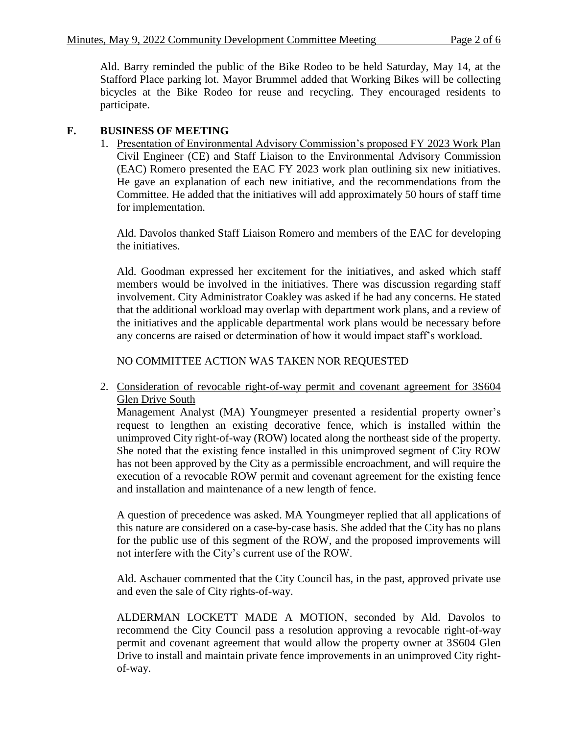Ald. Barry reminded the public of the Bike Rodeo to be held Saturday, May 14, at the Stafford Place parking lot. Mayor Brummel added that Working Bikes will be collecting bicycles at the Bike Rodeo for reuse and recycling. They encouraged residents to participate.

# **F. BUSINESS OF MEETING**

1. Presentation of Environmental Advisory Commission's proposed FY 2023 Work Plan Civil Engineer (CE) and Staff Liaison to the Environmental Advisory Commission (EAC) Romero presented the EAC FY 2023 work plan outlining six new initiatives. He gave an explanation of each new initiative, and the recommendations from the Committee. He added that the initiatives will add approximately 50 hours of staff time for implementation.

Ald. Davolos thanked Staff Liaison Romero and members of the EAC for developing the initiatives.

Ald. Goodman expressed her excitement for the initiatives, and asked which staff members would be involved in the initiatives. There was discussion regarding staff involvement. City Administrator Coakley was asked if he had any concerns. He stated that the additional workload may overlap with department work plans, and a review of the initiatives and the applicable departmental work plans would be necessary before any concerns are raised or determination of how it would impact staff's workload.

NO COMMITTEE ACTION WAS TAKEN NOR REQUESTED

2. Consideration of revocable right-of-way permit and covenant agreement for 3S604 Glen Drive South

Management Analyst (MA) Youngmeyer presented a residential property owner's request to lengthen an existing decorative fence, which is installed within the unimproved City right-of-way (ROW) located along the northeast side of the property. She noted that the existing fence installed in this unimproved segment of City ROW has not been approved by the City as a permissible encroachment, and will require the execution of a revocable ROW permit and covenant agreement for the existing fence and installation and maintenance of a new length of fence.

A question of precedence was asked. MA Youngmeyer replied that all applications of this nature are considered on a case-by-case basis. She added that the City has no plans for the public use of this segment of the ROW, and the proposed improvements will not interfere with the City's current use of the ROW.

Ald. Aschauer commented that the City Council has, in the past, approved private use and even the sale of City rights-of-way.

ALDERMAN LOCKETT MADE A MOTION, seconded by Ald. Davolos to recommend the City Council pass a resolution approving a revocable right-of-way permit and covenant agreement that would allow the property owner at 3S604 Glen Drive to install and maintain private fence improvements in an unimproved City rightof-way.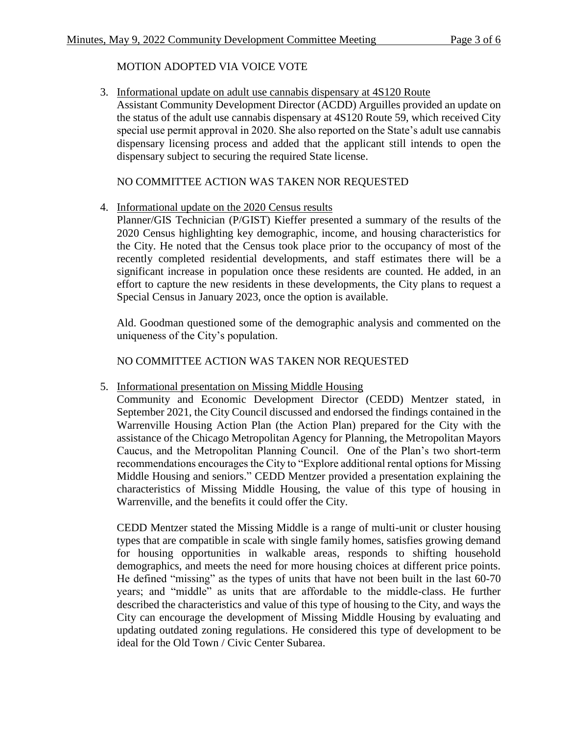# MOTION ADOPTED VIA VOICE VOTE

3. Informational update on adult use cannabis dispensary at 4S120 Route Assistant Community Development Director (ACDD) Arguilles provided an update on the status of the adult use cannabis dispensary at 4S120 Route 59, which received City special use permit approval in 2020. She also reported on the State's adult use cannabis dispensary licensing process and added that the applicant still intends to open the dispensary subject to securing the required State license.

# NO COMMITTEE ACTION WAS TAKEN NOR REQUESTED

# 4. Informational update on the 2020 Census results

Planner/GIS Technician (P/GIST) Kieffer presented a summary of the results of the 2020 Census highlighting key demographic, income, and housing characteristics for the City. He noted that the Census took place prior to the occupancy of most of the recently completed residential developments, and staff estimates there will be a significant increase in population once these residents are counted. He added, in an effort to capture the new residents in these developments, the City plans to request a Special Census in January 2023, once the option is available.

Ald. Goodman questioned some of the demographic analysis and commented on the uniqueness of the City's population.

NO COMMITTEE ACTION WAS TAKEN NOR REQUESTED

# 5. Informational presentation on Missing Middle Housing

Community and Economic Development Director (CEDD) Mentzer stated, in September 2021, the City Council discussed and endorsed the findings contained in the Warrenville Housing Action Plan (the Action Plan) prepared for the City with the assistance of the Chicago Metropolitan Agency for Planning, the Metropolitan Mayors Caucus, and the Metropolitan Planning Council. One of the Plan's two short-term recommendations encourages the City to "Explore additional rental options for Missing Middle Housing and seniors." CEDD Mentzer provided a presentation explaining the characteristics of Missing Middle Housing, the value of this type of housing in Warrenville, and the benefits it could offer the City.

CEDD Mentzer stated the Missing Middle is a range of multi-unit or cluster housing types that are compatible in scale with single family homes, satisfies growing demand for housing opportunities in walkable areas, responds to shifting household demographics, and meets the need for more housing choices at different price points. He defined "missing" as the types of units that have not been built in the last 60-70 years; and "middle" as units that are affordable to the middle-class. He further described the characteristics and value of this type of housing to the City, and ways the City can encourage the development of Missing Middle Housing by evaluating and updating outdated zoning regulations. He considered this type of development to be ideal for the Old Town / Civic Center Subarea.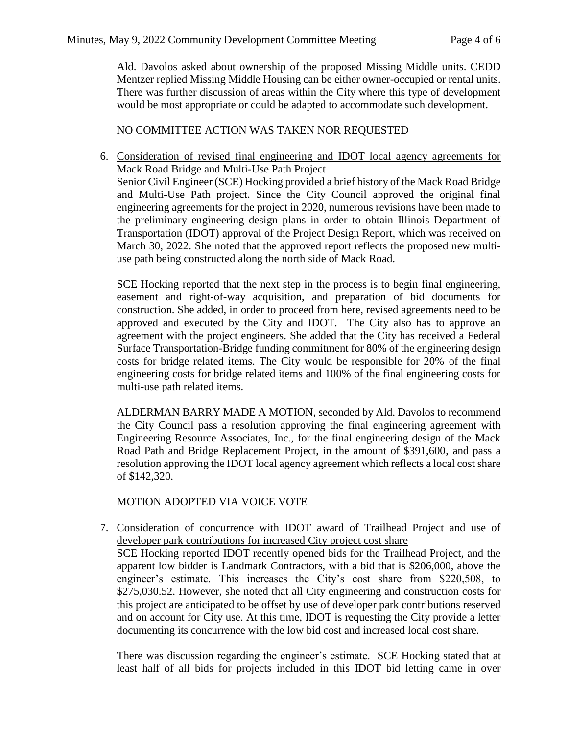Ald. Davolos asked about ownership of the proposed Missing Middle units. CEDD Mentzer replied Missing Middle Housing can be either owner-occupied or rental units. There was further discussion of areas within the City where this type of development would be most appropriate or could be adapted to accommodate such development.

NO COMMITTEE ACTION WAS TAKEN NOR REQUESTED

6. Consideration of revised final engineering and IDOT local agency agreements for Mack Road Bridge and Multi-Use Path Project Senior Civil Engineer (SCE) Hocking provided a brief history of the Mack Road Bridge and Multi-Use Path project. Since the City Council approved the original final

engineering agreements for the project in 2020, numerous revisions have been made to the preliminary engineering design plans in order to obtain Illinois Department of Transportation (IDOT) approval of the Project Design Report, which was received on March 30, 2022. She noted that the approved report reflects the proposed new multiuse path being constructed along the north side of Mack Road.

SCE Hocking reported that the next step in the process is to begin final engineering, easement and right-of-way acquisition, and preparation of bid documents for construction. She added, in order to proceed from here, revised agreements need to be approved and executed by the City and IDOT. The City also has to approve an agreement with the project engineers. She added that the City has received a Federal Surface Transportation-Bridge funding commitment for 80% of the engineering design costs for bridge related items. The City would be responsible for 20% of the final engineering costs for bridge related items and 100% of the final engineering costs for multi-use path related items.

ALDERMAN BARRY MADE A MOTION, seconded by Ald. Davolos to recommend the City Council pass a resolution approving the final engineering agreement with Engineering Resource Associates, Inc., for the final engineering design of the Mack Road Path and Bridge Replacement Project, in the amount of \$391,600, and pass a resolution approving the IDOT local agency agreement which reflects a local cost share of \$142,320.

MOTION ADOPTED VIA VOICE VOTE

7. Consideration of concurrence with IDOT award of Trailhead Project and use of developer park contributions for increased City project cost share SCE Hocking reported IDOT recently opened bids for the Trailhead Project, and the apparent low bidder is Landmark Contractors, with a bid that is \$206,000, above the engineer's estimate. This increases the City's cost share from \$220,508, to \$275,030.52. However, she noted that all City engineering and construction costs for this project are anticipated to be offset by use of developer park contributions reserved and on account for City use. At this time, IDOT is requesting the City provide a letter documenting its concurrence with the low bid cost and increased local cost share.

There was discussion regarding the engineer's estimate. SCE Hocking stated that at least half of all bids for projects included in this IDOT bid letting came in over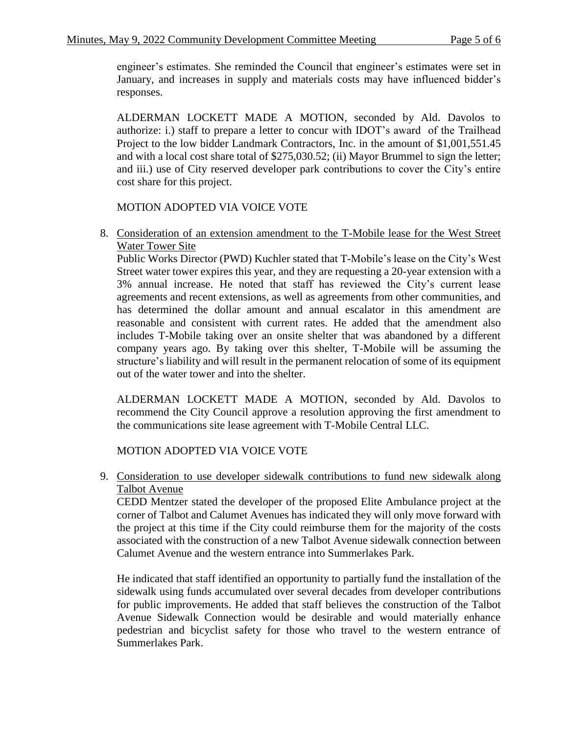engineer's estimates. She reminded the Council that engineer's estimates were set in January, and increases in supply and materials costs may have influenced bidder's responses.

ALDERMAN LOCKETT MADE A MOTION, seconded by Ald. Davolos to authorize: i.) staff to prepare a letter to concur with IDOT's award of the Trailhead Project to the low bidder Landmark Contractors, Inc. in the amount of \$1,001,551.45 and with a local cost share total of \$275,030.52; (ii) Mayor Brummel to sign the letter; and iii.) use of City reserved developer park contributions to cover the City's entire cost share for this project.

# MOTION ADOPTED VIA VOICE VOTE

8. Consideration of an extension amendment to the T-Mobile lease for the West Street Water Tower Site

Public Works Director (PWD) Kuchler stated that T-Mobile's lease on the City's West Street water tower expires this year, and they are requesting a 20-year extension with a 3% annual increase. He noted that staff has reviewed the City's current lease agreements and recent extensions, as well as agreements from other communities, and has determined the dollar amount and annual escalator in this amendment are reasonable and consistent with current rates. He added that the amendment also includes T-Mobile taking over an onsite shelter that was abandoned by a different company years ago. By taking over this shelter, T-Mobile will be assuming the structure's liability and will result in the permanent relocation of some of its equipment out of the water tower and into the shelter.

ALDERMAN LOCKETT MADE A MOTION, seconded by Ald. Davolos to recommend the City Council approve a resolution approving the first amendment to the communications site lease agreement with T-Mobile Central LLC.

MOTION ADOPTED VIA VOICE VOTE

9. Consideration to use developer sidewalk contributions to fund new sidewalk along Talbot Avenue

CEDD Mentzer stated the developer of the proposed Elite Ambulance project at the corner of Talbot and Calumet Avenues has indicated they will only move forward with the project at this time if the City could reimburse them for the majority of the costs associated with the construction of a new Talbot Avenue sidewalk connection between Calumet Avenue and the western entrance into Summerlakes Park.

He indicated that staff identified an opportunity to partially fund the installation of the sidewalk using funds accumulated over several decades from developer contributions for public improvements. He added that staff believes the construction of the Talbot Avenue Sidewalk Connection would be desirable and would materially enhance pedestrian and bicyclist safety for those who travel to the western entrance of Summerlakes Park.